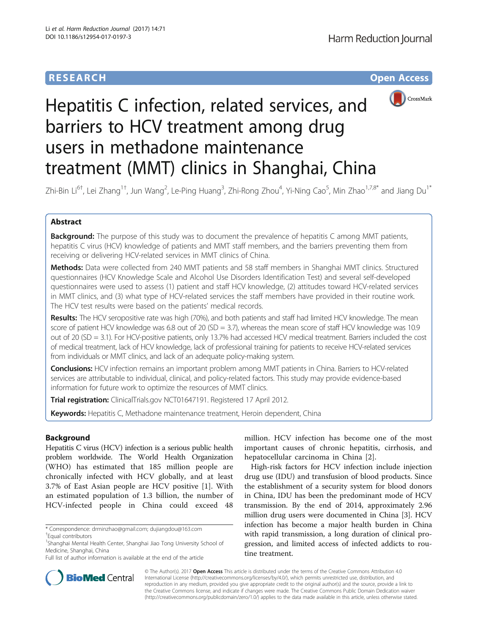# **RESEARCH CHE Open Access**



# Hepatitis C infection, related services, and barriers to HCV treatment among drug users in methadone maintenance treatment (MMT) clinics in Shanghai, China

Zhi-Bin Li<sup>6†</sup>, Lei Zhang<sup>1†</sup>, Jun Wang<sup>2</sup>, Le-Ping Huang<sup>3</sup>, Zhi-Rong Zhou<sup>4</sup>, Yi-Ning Cao<sup>5</sup>, Min Zhao<sup>1,7,8\*</sup> and Jiang Du<sup>1\*</sup>

# Abstract

**Background:** The purpose of this study was to document the prevalence of hepatitis C among MMT patients, hepatitis C virus (HCV) knowledge of patients and MMT staff members, and the barriers preventing them from receiving or delivering HCV-related services in MMT clinics of China.

Methods: Data were collected from 240 MMT patients and 58 staff members in Shanghai MMT clinics. Structured questionnaires (HCV Knowledge Scale and Alcohol Use Disorders Identification Test) and several self-developed questionnaires were used to assess (1) patient and staff HCV knowledge, (2) attitudes toward HCV-related services in MMT clinics, and (3) what type of HCV-related services the staff members have provided in their routine work. The HCV test results were based on the patients' medical records.

Results: The HCV seropositive rate was high (70%), and both patients and staff had limited HCV knowledge. The mean score of patient HCV knowledge was 6.8 out of 20 (SD = 3.7), whereas the mean score of staff HCV knowledge was 10.9 out of 20 (SD = 3.1). For HCV-positive patients, only 13.7% had accessed HCV medical treatment. Barriers included the cost of medical treatment, lack of HCV knowledge, lack of professional training for patients to receive HCV-related services from individuals or MMT clinics, and lack of an adequate policy-making system.

Conclusions: HCV infection remains an important problem among MMT patients in China. Barriers to HCV-related services are attributable to individual, clinical, and policy-related factors. This study may provide evidence-based information for future work to optimize the resources of MMT clinics.

Trial registration: ClinicalTrials.gov [NCT01647191](https://clinicaltrials.gov/ct2/show/NCT01647191?cond=HCV&cntry1=ES%3ACN&draw=1&rank=5). Registered 17 April 2012.

Keywords: Hepatitis C, Methadone maintenance treatment, Heroin dependent, China

# Background

Hepatitis C virus (HCV) infection is a serious public health problem worldwide. The World Health Organization (WHO) has estimated that 185 million people are chronically infected with HCV globally, and at least 3.7% of East Asian people are HCV positive [[1\]](#page-6-0). With an estimated population of 1.3 billion, the number of HCV-infected people in China could exceed 48

million. HCV infection has become one of the most important causes of chronic hepatitis, cirrhosis, and hepatocellular carcinoma in China [[2\]](#page-6-0).

High-risk factors for HCV infection include injection drug use (IDU) and transfusion of blood products. Since the establishment of a security system for blood donors in China, IDU has been the predominant mode of HCV transmission. By the end of 2014, approximately 2.96 million drug users were documented in China [[3](#page-6-0)]. HCV infection has become a major health burden in China with rapid transmission, a long duration of clinical progression, and limited access of infected addicts to routine treatment.



© The Author(s). 2017 **Open Access** This article is distributed under the terms of the Creative Commons Attribution 4.0 International License [\(http://creativecommons.org/licenses/by/4.0/](http://creativecommons.org/licenses/by/4.0/)), which permits unrestricted use, distribution, and reproduction in any medium, provided you give appropriate credit to the original author(s) and the source, provide a link to the Creative Commons license, and indicate if changes were made. The Creative Commons Public Domain Dedication waiver [\(http://creativecommons.org/publicdomain/zero/1.0/](http://creativecommons.org/publicdomain/zero/1.0/)) applies to the data made available in this article, unless otherwise stated.

<sup>\*</sup> Correspondence: [drminzhao@gmail.com](mailto:drminzhao@gmail.com); [dujiangdou@163.com](mailto:dujiangdou@163.com) †

Equal contributors

<sup>&</sup>lt;sup>1</sup>Shanghai Mental Health Center, Shanghai Jiao Tong University School of Medicine, Shanghai, China

Full list of author information is available at the end of the article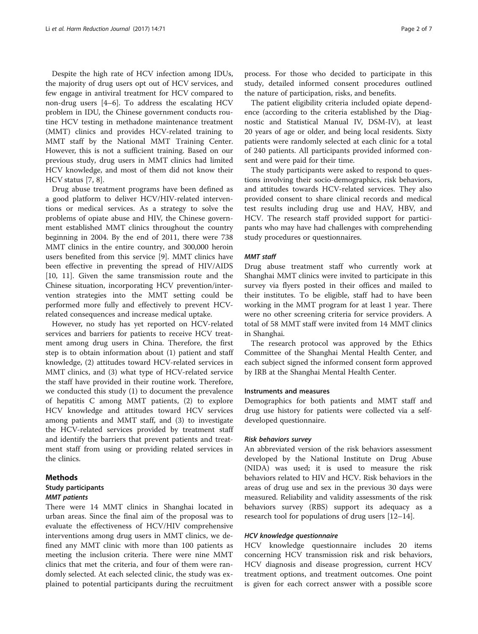Despite the high rate of HCV infection among IDUs, the majority of drug users opt out of HCV services, and few engage in antiviral treatment for HCV compared to non-drug users [\[4](#page-6-0)–[6\]](#page-6-0). To address the escalating HCV problem in IDU, the Chinese government conducts routine HCV testing in methadone maintenance treatment (MMT) clinics and provides HCV-related training to MMT staff by the National MMT Training Center. However, this is not a sufficient training. Based on our previous study, drug users in MMT clinics had limited HCV knowledge, and most of them did not know their HCV status [[7, 8\]](#page-6-0).

Drug abuse treatment programs have been defined as a good platform to deliver HCV/HIV-related interventions or medical services. As a strategy to solve the problems of opiate abuse and HIV, the Chinese government established MMT clinics throughout the country beginning in 2004. By the end of 2011, there were 738 MMT clinics in the entire country, and 300,000 heroin users benefited from this service [[9\]](#page-6-0). MMT clinics have been effective in preventing the spread of HIV/AIDS [[10, 11](#page-6-0)]. Given the same transmission route and the Chinese situation, incorporating HCV prevention/intervention strategies into the MMT setting could be performed more fully and effectively to prevent HCVrelated consequences and increase medical uptake.

However, no study has yet reported on HCV-related services and barriers for patients to receive HCV treatment among drug users in China. Therefore, the first step is to obtain information about (1) patient and staff knowledge, (2) attitudes toward HCV-related services in MMT clinics, and (3) what type of HCV-related service the staff have provided in their routine work. Therefore, we conducted this study (1) to document the prevalence of hepatitis C among MMT patients, (2) to explore HCV knowledge and attitudes toward HCV services among patients and MMT staff, and (3) to investigate the HCV-related services provided by treatment staff and identify the barriers that prevent patients and treatment staff from using or providing related services in the clinics.

# Methods

# Study participants

# MMT patients

There were 14 MMT clinics in Shanghai located in urban areas. Since the final aim of the proposal was to evaluate the effectiveness of HCV/HIV comprehensive interventions among drug users in MMT clinics, we defined any MMT clinic with more than 100 patients as meeting the inclusion criteria. There were nine MMT clinics that met the criteria, and four of them were randomly selected. At each selected clinic, the study was explained to potential participants during the recruitment process. For those who decided to participate in this study, detailed informed consent procedures outlined the nature of participation, risks, and benefits.

The patient eligibility criteria included opiate dependence (according to the criteria established by the Diagnostic and Statistical Manual IV, DSM-IV), at least 20 years of age or older, and being local residents. Sixty patients were randomly selected at each clinic for a total of 240 patients. All participants provided informed consent and were paid for their time.

The study participants were asked to respond to questions involving their socio-demographics, risk behaviors, and attitudes towards HCV-related services. They also provided consent to share clinical records and medical test results including drug use and HAV, HBV, and HCV. The research staff provided support for participants who may have had challenges with comprehending study procedures or questionnaires.

## MMT staff

Drug abuse treatment staff who currently work at Shanghai MMT clinics were invited to participate in this survey via flyers posted in their offices and mailed to their institutes. To be eligible, staff had to have been working in the MMT program for at least 1 year. There were no other screening criteria for service providers. A total of 58 MMT staff were invited from 14 MMT clinics in Shanghai.

The research protocol was approved by the Ethics Committee of the Shanghai Mental Health Center, and each subject signed the informed consent form approved by IRB at the Shanghai Mental Health Center.

## Instruments and measures

Demographics for both patients and MMT staff and drug use history for patients were collected via a selfdeveloped questionnaire.

# Risk behaviors survey

An abbreviated version of the risk behaviors assessment developed by the National Institute on Drug Abuse (NIDA) was used; it is used to measure the risk behaviors related to HIV and HCV. Risk behaviors in the areas of drug use and sex in the previous 30 days were measured. Reliability and validity assessments of the risk behaviors survey (RBS) support its adequacy as a research tool for populations of drug users [[12](#page-6-0)–[14](#page-6-0)].

# HCV knowledge questionnaire

HCV knowledge questionnaire includes 20 items concerning HCV transmission risk and risk behaviors, HCV diagnosis and disease progression, current HCV treatment options, and treatment outcomes. One point is given for each correct answer with a possible score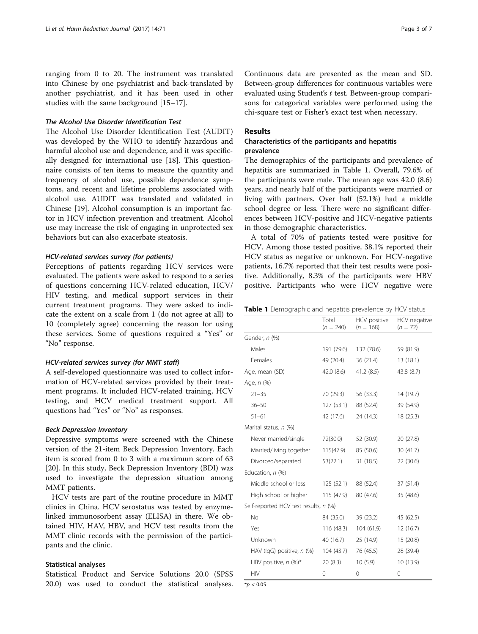ranging from 0 to 20. The instrument was translated into Chinese by one psychiatrist and back-translated by another psychiatrist, and it has been used in other studies with the same background [[15](#page-6-0)–[17](#page-6-0)].

# The Alcohol Use Disorder Identification Test

The Alcohol Use Disorder Identification Test (AUDIT) was developed by the WHO to identify hazardous and harmful alcohol use and dependence, and it was specifically designed for international use [[18](#page-6-0)]. This questionnaire consists of ten items to measure the quantity and frequency of alcohol use, possible dependence symptoms, and recent and lifetime problems associated with alcohol use. AUDIT was translated and validated in Chinese [[19\]](#page-6-0). Alcohol consumption is an important factor in HCV infection prevention and treatment. Alcohol use may increase the risk of engaging in unprotected sex behaviors but can also exacerbate steatosis.

## HCV-related services survey (for patients)

Perceptions of patients regarding HCV services were evaluated. The patients were asked to respond to a series of questions concerning HCV-related education, HCV/ HIV testing, and medical support services in their current treatment programs. They were asked to indicate the extent on a scale from 1 (do not agree at all) to 10 (completely agree) concerning the reason for using these services. Some of questions required a "Yes" or "No" response.

# HCV-related services survey (for MMT staff)

A self-developed questionnaire was used to collect information of HCV-related services provided by their treatment programs. It included HCV-related training, HCV testing, and HCV medical treatment support. All questions had "Yes" or "No" as responses.

## Beck Depression Inventory

Depressive symptoms were screened with the Chinese version of the 21-item Beck Depression Inventory. Each item is scored from 0 to 3 with a maximum score of 63 [[20\]](#page-6-0). In this study, Beck Depression Inventory (BDI) was used to investigate the depression situation among MMT patients.

HCV tests are part of the routine procedure in MMT clinics in China. HCV serostatus was tested by enzymelinked immunosorbent assay (ELISA) in there. We obtained HIV, HAV, HBV, and HCV test results from the MMT clinic records with the permission of the participants and the clinic.

## Statistical analyses

Statistical Product and Service Solutions 20.0 (SPSS 20.0) was used to conduct the statistical analyses.

Continuous data are presented as the mean and SD. Between-group differences for continuous variables were evaluated using Student's t test. Between-group comparisons for categorical variables were performed using the chi-square test or Fisher's exact test when necessary.

# Results

# Characteristics of the participants and hepatitis prevalence

The demographics of the participants and prevalence of hepatitis are summarized in Table 1. Overall, 79.6% of the participants were male. The mean age was 42.0 (8.6) years, and nearly half of the participants were married or living with partners. Over half (52.1%) had a middle school degree or less. There were no significant differences between HCV-positive and HCV-negative patients in those demographic characteristics.

A total of 70% of patients tested were positive for HCV. Among those tested positive, 38.1% reported their HCV status as negative or unknown. For HCV-negative patients, 16.7% reported that their test results were positive. Additionally, 8.3% of the participants were HBV positive. Participants who were HCV negative were

Table 1 Demographic and hepatitis prevalence by HCV status

|                                       | Total<br>$(n = 240)$ | HCV positive<br>$(n = 168)$ | HCV negative<br>$(n = 72)$ |
|---------------------------------------|----------------------|-----------------------------|----------------------------|
| Gender, n (%)                         |                      |                             |                            |
| Males                                 | 191 (79.6)           | 132 (78.6)                  | 59 (81.9)                  |
| Females                               | 49 (20.4)            | 36 (21.4)                   | 13(18.1)                   |
| Age, mean (SD)                        | 42.0(8.6)            | 41.2(8.5)                   | 43.8 (8.7)                 |
| Age, n (%)                            |                      |                             |                            |
| $21 - 35$                             | 70 (29.3)            | 56 (33.3)                   | 14 (19.7)                  |
| $36 - 50$                             | 127 (53.1)           | 88 (52.4)                   | 39 (54.9)                  |
| $51 - 61$                             | 42 (17.6)            | 24 (14.3)                   | 18 (25.3)                  |
| Marital status, n (%)                 |                      |                             |                            |
| Never married/single                  | 72(30.0)             | 52 (30.9)                   | 20 (27.8)                  |
| Married/living together               | 115(47.9)            | 85 (50.6)                   | 30 (41.7)                  |
| Divorced/separated                    | 53(22.1)             | 31 (18.5)                   | 22 (30.6)                  |
| Education, n (%)                      |                      |                             |                            |
| Middle school or less                 | 125(52.1)            | 88 (52.4)                   | 37 (51.4)                  |
| High school or higher                 | 115 (47.9)           | 80 (47.6)                   | 35 (48.6)                  |
| Self-reported HCV test results, n (%) |                      |                             |                            |
| No                                    | 84 (35.0)            | 39 (23.2)                   | 45 (62.5)                  |
| Yes                                   | 116 (48.3)           | 104(61.9)                   | 12 (16.7)                  |
| Unknown                               | 40 (16.7)            | 25 (14.9)                   | 15 (20.8)                  |
| HAV ( $\lg G$ ) positive, n $(\%)$    | 104 (43.7)           | 76 (45.5)                   | 28 (39.4)                  |
| HBV positive, $n$ (%)*                | 20 (8.3)             | 10(5.9)                     | 10 (13.9)                  |
| <b>HIV</b>                            | 0                    | 0                           | 0                          |
| $*_p$ < 0.05                          |                      |                             |                            |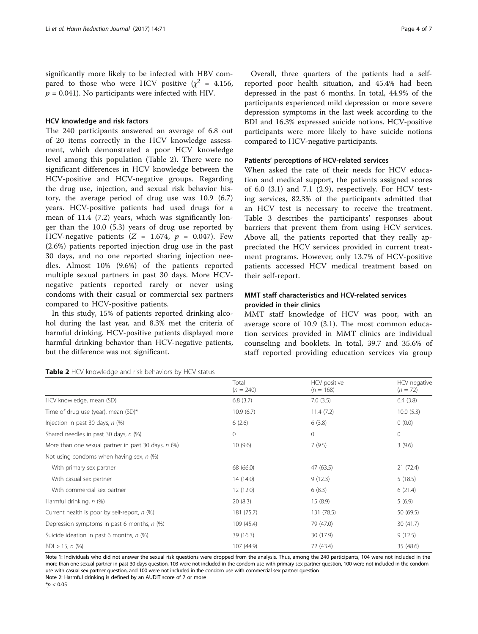significantly more likely to be infected with HBV compared to those who were HCV positive ( $\chi^2$  = 4.156,  $p = 0.041$ ). No participants were infected with HIV.

# HCV knowledge and risk factors

The 240 participants answered an average of 6.8 out of 20 items correctly in the HCV knowledge assessment, which demonstrated a poor HCV knowledge level among this population (Table 2). There were no significant differences in HCV knowledge between the HCV-positive and HCV-negative groups. Regarding the drug use, injection, and sexual risk behavior history, the average period of drug use was 10.9 (6.7) years. HCV-positive patients had used drugs for a mean of 11.4 (7.2) years, which was significantly longer than the 10.0 (5.3) years of drug use reported by HCV-negative patients ( $Z = 1.674$ ,  $p = 0.047$ ). Few (2.6%) patients reported injection drug use in the past 30 days, and no one reported sharing injection needles. Almost 10% (9.6%) of the patients reported multiple sexual partners in past 30 days. More HCVnegative patients reported rarely or never using condoms with their casual or commercial sex partners compared to HCV-positive patients.

In this study, 15% of patients reported drinking alcohol during the last year, and 8.3% met the criteria of harmful drinking. HCV-positive patients displayed more harmful drinking behavior than HCV-negative patients, but the difference was not significant.

Overall, three quarters of the patients had a selfreported poor health situation, and 45.4% had been depressed in the past 6 months. In total, 44.9% of the participants experienced mild depression or more severe depression symptoms in the last week according to the BDI and 16.3% expressed suicide notions. HCV-positive participants were more likely to have suicide notions compared to HCV-negative participants.

# Patients' perceptions of HCV-related services

When asked the rate of their needs for HCV education and medical support, the patients assigned scores of 6.0 (3.1) and 7.1 (2.9), respectively. For HCV testing services, 82.3% of the participants admitted that an HCV test is necessary to receive the treatment. Table [3](#page-4-0) describes the participants' responses about barriers that prevent them from using HCV services. Above all, the patients reported that they really appreciated the HCV services provided in current treatment programs. However, only 13.7% of HCV-positive patients accessed HCV medical treatment based on their self-report.

# MMT staff characteristics and HCV-related services provided in their clinics

MMT staff knowledge of HCV was poor, with an average score of 10.9 (3.1). The most common education services provided in MMT clinics are individual counseling and booklets. In total, 39.7 and 35.6% of staff reported providing education services via group

|                                                       | Total<br>$(n = 240)$ | HCV positive<br>$(n = 168)$ | HCV negative<br>$(n = 72)$ |
|-------------------------------------------------------|----------------------|-----------------------------|----------------------------|
| HCV knowledge, mean (SD)                              | 6.8(3.7)             | 7.0(3.5)                    | 6.4(3.8)                   |
| Time of drug use (year), mean (SD)*                   | 10.9(6.7)            | 11.4(7.2)                   | 10.0(5.3)                  |
| Injection in past 30 days, $n$ (%)                    | 6(2.6)               | 6(3.8)                      | 0(0.0)                     |
| Shared needles in past 30 days, n (%)                 | $\circ$              | $\mathbf 0$                 | $\mathbf 0$                |
| More than one sexual partner in past 30 days, $n$ (%) | 10(9.6)              | 7(9.5)                      | 3(9.6)                     |
| Not using condoms when having sex, $n$ (%)            |                      |                             |                            |
| With primary sex partner                              | 68 (66.0)            | 47 (63.5)                   | 21(72.4)                   |
| With casual sex partner                               | 14(14.0)             | 9(12.3)                     | 5(18.5)                    |
| With commercial sex partner                           | 12(12.0)             | 6(8.3)                      | 6(21.4)                    |
| Harmful drinking, n (%)                               | 20(8.3)              | 15(8.9)                     | 5(6.9)                     |
| Current health is poor by self-report, n (%)          | 181 (75.7)           | 131 (78.5)                  | 50 (69.5)                  |
| Depression symptoms in past 6 months, $n$ (%)         | 109 (45.4)           | 79 (47.0)                   | 30(41.7)                   |
| Suicide ideation in past 6 months, $n$ (%)            | 39 (16.3)            | 30 (17.9)                   | 9(12.5)                    |
| $BDI > 15, n$ (%)                                     | 107 (44.9)           | 72 (43.4)                   | 35 (48.6)                  |

Note 1: Individuals who did not answer the sexual risk questions were dropped from the analysis. Thus, among the 240 participants, 104 were not included in the more than one sexual partner in past 30 days question, 103 were not included in the condom use with primary sex partner question, 100 were not included in the condom use with casual sex partner question, and 100 were not included in the condom use with commercial sex partner question

Note 2: Harmful drinking is defined by an AUDIT score of 7 or more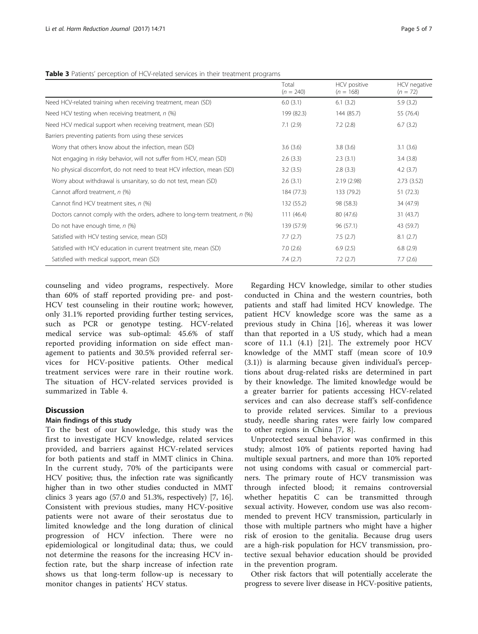<span id="page-4-0"></span>

| <b>Table 3</b> Patients' perception of HCV-related services in their treatment programs |  |  |  |
|-----------------------------------------------------------------------------------------|--|--|--|
|                                                                                         |  |  |  |

|                                                                               | Total<br>$(n = 240)$ | HCV positive<br>$(n = 168)$ | HCV negative<br>$(n = 72)$ |
|-------------------------------------------------------------------------------|----------------------|-----------------------------|----------------------------|
| Need HCV-related training when receiving treatment, mean (SD)                 | 6.0(3.1)             | 6.1(3.2)                    | 5.9(3.2)                   |
| Need HCV testing when receiving treatment, n (%)                              | 199 (82.3)           | 144 (85.7)                  | 55 (76.4)                  |
| Need HCV medical support when receiving treatment, mean (SD)                  | 7.1(2.9)             | 7.2(2.8)                    | 6.7(3.2)                   |
| Barriers preventing patients from using these services                        |                      |                             |                            |
| Worry that others know about the infection, mean (SD)                         | 3.6(3.6)             | 3.8(3.6)                    | 3.1(3.6)                   |
| Not engaging in risky behavior, will not suffer from HCV, mean (SD)           | 2.6(3.3)             | 2.3(3.1)                    | 3.4(3.8)                   |
| No physical discomfort, do not need to treat HCV infection, mean (SD)         | 3.2(3.5)             | 2.8(3.3)                    | 4.2(3.7)                   |
| Worry about withdrawal is unsanitary, so do not test, mean (SD)               | 2.6(3.1)             | 2.19(2.98)                  | 2.73(3.52)                 |
| Cannot afford treatment, n (%)                                                | 184 (77.3)           | 133 (79.2)                  | 51 (72.3)                  |
| Cannot find HCV treatment sites, n (%)                                        | 132 (55.2)           | 98 (58.3)                   | 34 (47.9)                  |
| Doctors cannot comply with the orders, adhere to long-term treatment, $n$ (%) | 111(46.4)            | 80 (47.6)                   | 31(43.7)                   |
| Do not have enough time, n (%)                                                | 139 (57.9)           | 96 (57.1)                   | 43 (59.7)                  |
| Satisfied with HCV testing service, mean (SD)                                 | 7.7(2.7)             | 7.5(2.7)                    | 8.1(2.7)                   |
| Satisfied with HCV education in current treatment site, mean (SD)             | 7.0(2.6)             | 6.9(2.5)                    | 6.8(2.9)                   |
| Satisfied with medical support, mean (SD)                                     | 7.4(2.7)             | 7.2(2.7)                    | 7.7(2.6)                   |

counseling and video programs, respectively. More than 60% of staff reported providing pre- and post-HCV test counseling in their routine work; however, only 31.1% reported providing further testing services, such as PCR or genotype testing. HCV-related medical service was sub-optimal: 45.6% of staff reported providing information on side effect management to patients and 30.5% provided referral services for HCV-positive patients. Other medical treatment services were rare in their routine work. The situation of HCV-related services provided is summarized in Table [4.](#page-5-0)

# **Discussion**

# Main findings of this study

To the best of our knowledge, this study was the first to investigate HCV knowledge, related services provided, and barriers against HCV-related services for both patients and staff in MMT clinics in China. In the current study, 70% of the participants were HCV positive; thus, the infection rate was significantly higher than in two other studies conducted in MMT clinics 3 years ago (57.0 and 51.3%, respectively) [[7, 16](#page-6-0)]. Consistent with previous studies, many HCV-positive patients were not aware of their serostatus due to limited knowledge and the long duration of clinical progression of HCV infection. There were no epidemiological or longitudinal data; thus, we could not determine the reasons for the increasing HCV infection rate, but the sharp increase of infection rate shows us that long-term follow-up is necessary to monitor changes in patients' HCV status.

Regarding HCV knowledge, similar to other studies conducted in China and the western countries, both patients and staff had limited HCV knowledge. The patient HCV knowledge score was the same as a previous study in China [[16\]](#page-6-0), whereas it was lower than that reported in a US study, which had a mean score of 11.1 (4.1) [\[21](#page-6-0)]. The extremely poor HCV knowledge of the MMT staff (mean score of 10.9 (3.1)) is alarming because given individual's perceptions about drug-related risks are determined in part by their knowledge. The limited knowledge would be a greater barrier for patients accessing HCV-related services and can also decrease staff's self-confidence to provide related services. Similar to a previous study, needle sharing rates were fairly low compared to other regions in China [\[7](#page-6-0), [8\]](#page-6-0).

Unprotected sexual behavior was confirmed in this study; almost 10% of patients reported having had multiple sexual partners, and more than 10% reported not using condoms with casual or commercial partners. The primary route of HCV transmission was through infected blood; it remains controversial whether hepatitis C can be transmitted through sexual activity. However, [condom](http://en.wikipedia.org/wiki/Condom) use was also recommended to prevent HCV transmission, particularly in those with multiple partners who might have a higher risk of erosion to the genitalia. Because drug users are a high-risk population for HCV transmission, protective sexual behavior education should be provided in the prevention program.

Other risk factors that will potentially accelerate the progress to severe liver disease in HCV-positive patients,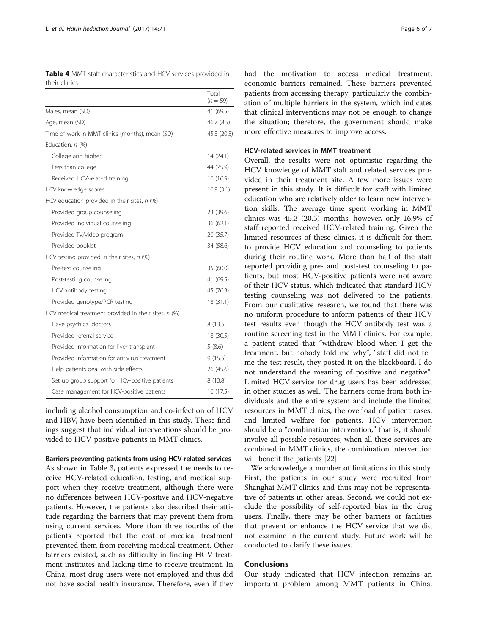<span id="page-5-0"></span>

| Table 4 MMT staff characteristics and HCV services provided in |  |  |  |  |
|----------------------------------------------------------------|--|--|--|--|
| their clinics                                                  |  |  |  |  |

|                                                        | Total<br>$(n = 59)$ |
|--------------------------------------------------------|---------------------|
| Males, mean (SD)                                       | 41 (69.5)           |
| Age, mean (SD)                                         | 46.7(8.5)           |
| Time of work in MMT clinics (months), mean (SD)        | 45.3 (20.5)         |
| Education, n (%)                                       |                     |
| College and higher                                     | 14 (24.1)           |
| Less than college                                      | 44 (75.9)           |
| Received HCV-related training                          | 10(16.9)            |
| HCV knowledge scores                                   | 10.9(3.1)           |
| HCV education provided in their sites, $n$ (%)         |                     |
| Provided group counseling                              | 23 (39.6)           |
| Provided individual counseling                         | 36 (62.1)           |
| Provided TV/video program                              | 20 (35.7)           |
| Provided booklet                                       | 34 (58.6)           |
| HCV testing provided in their sites, n (%)             |                     |
| Pre-test counseling                                    | 35 (60.0)           |
| Post-testing counseling                                | 41 (69.5)           |
| HCV antibody testing                                   | 45 (76.3)           |
| Provided genotype/PCR testing                          | 18 (31.1)           |
| HCV medical treatment provided in their sites, $n$ (%) |                     |
| Have psychical doctors                                 | 8(13.5)             |
| Provided referral service                              | 18 (30.5)           |
| Provided information for liver transplant              | 5(8.6)              |
| Provided information for antivirus treatment           | 9(15.5)             |
| Help patients deal with side effects                   | 26 (45.6)           |
| Set up group support for HCV-positive patients         | 8 (13.8)            |
| Case management for HCV-positive patients              | 10 (17.5)           |

including alcohol consumption and co-infection of HCV and HBV, have been identified in this study. These findings suggest that individual interventions should be provided to HCV-positive patients in MMT clinics.

Barriers preventing patients from using HCV-related services As shown in Table [3,](#page-4-0) patients expressed the needs to receive HCV-related education, testing, and medical support when they receive treatment, although there were no differences between HCV-positive and HCV-negative patients. However, the patients also described their attitude regarding the barriers that may prevent them from using current services. More than three fourths of the patients reported that the cost of medical treatment prevented them from receiving medical treatment. Other barriers existed, such as difficulty in finding HCV treatment institutes and lacking time to receive treatment. In China, most drug users were not employed and thus did not have social health insurance. Therefore, even if they had the motivation to access medical treatment, economic barriers remained. These barriers prevented patients from accessing therapy, particularly the combination of multiple barriers in the system, which indicates that clinical interventions may not be enough to change the situation; therefore, the government should make more effective measures to improve access.

# HCV-related services in MMT treatment

Overall, the results were not optimistic regarding the HCV knowledge of MMT staff and related services provided in their treatment site. A few more issues were present in this study. It is difficult for staff with limited education who are relatively older to learn new intervention skills. The average time spent working in MMT clinics was 45.3 (20.5) months; however, only 16.9% of staff reported received HCV-related training. Given the limited resources of these clinics, it is difficult for them to provide HCV education and counseling to patients during their routine work. More than half of the staff reported providing pre- and post-test counseling to patients, but most HCV-positive patients were not aware of their HCV status, which indicated that standard HCV testing counseling was not delivered to the patients. From our qualitative research, we found that there was no uniform procedure to inform patients of their HCV test results even though the HCV antibody test was a routine screening test in the MMT clinics. For example, a patient stated that "withdraw blood when I get the treatment, but nobody told me why", "staff did not tell me the test result, they posted it on the blackboard, I do not understand the meaning of positive and negative". Limited HCV service for drug users has been addressed in other studies as well. The barriers come from both individuals and the entire system and include the limited resources in MMT clinics, the overload of patient cases, and limited welfare for patients. HCV intervention should be a "combination intervention," that is, it should involve all possible resources; when all these services are combined in MMT clinics, the combination intervention will benefit the patients [\[22](#page-6-0)].

We acknowledge a number of limitations in this study. First, the patients in our study were recruited from Shanghai MMT clinics and thus may not be representative of patients in other areas. Second, we could not exclude the possibility of self-reported bias in the drug users. Finally, there may be other barriers or facilities that prevent or enhance the HCV service that we did not examine in the current study. Future work will be conducted to clarify these issues.

# Conclusions

Our study indicated that HCV infection remains an important problem among MMT patients in China.